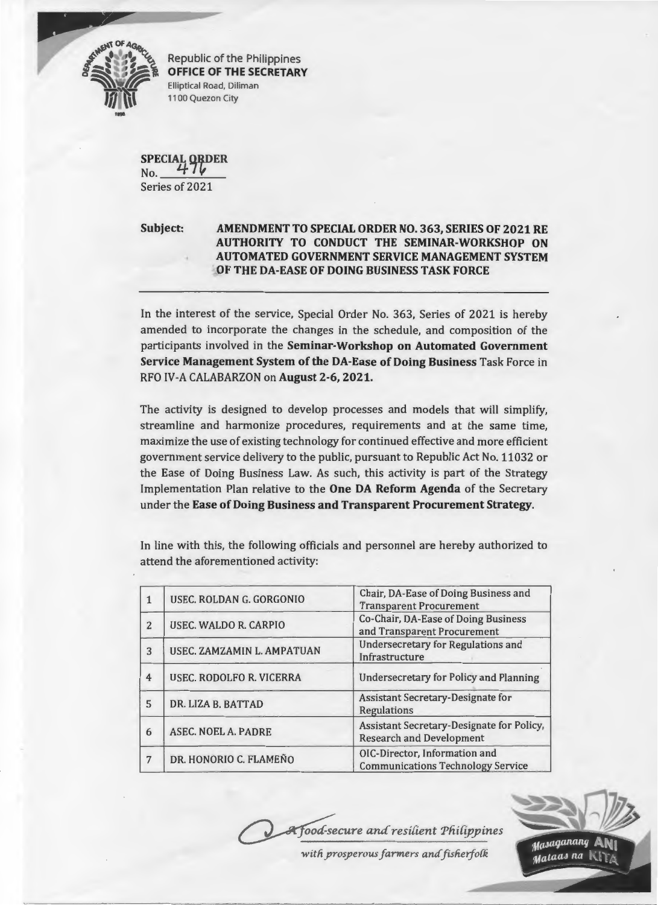

Republic of the Philippines **OFFICE OF THE SECRETARY**  Elliptical Road, Diliman 1100 Quezon City

**SPECIAL QRDER** No. Series of 2021

## **Subject: AMENDMENT TO SPECIAL ORDER NO. 363, SERIES OF 2021 RE AUTHORITY TO CONDUCT THE SEMINAR-WORKSHOP ON AUTOMATED GOVERNMENT SERVICE MANAGEMENT SYSTEM OF THEDA-EASE OF DOING BUSINESS TASK FORCE**

In the interest of the service, Special Order No. 363, Series of 2021 is hereby amended to incorporate the changes in the schedule, and composition of the participants involved in the **Seminar-Workshop on Automated Government Service Management System of the DA-Ease of Doing Business Task Force in** RFO IV-A CALABARZON on **August 2-6,2021.** 

The activity is designed to develop processes and models that will simplify, streamline and harmonize procedures, requirements and at the same time, maximize the use of existing technology for continued effective and more efficient government service delivery to the public, pursuant to Republic Act No. 11032 or the Ease of Doing Business Law. As such, this activity is part of the Strategy Implementation Plan relative to the **One DA Reform Agenda** of the Secretary under the **Ease of Doing Business and Transparent Procurement Strategy.** 

In line with this, the following officials and personnel are hereby authorized to attend the aforementioned activity:

|                | USEC. ROLDAN G. GORGONIO        | Chair, DA-Ease of Doing Business and<br><b>Transparent Procurement</b>       |
|----------------|---------------------------------|------------------------------------------------------------------------------|
| $\overline{2}$ | USEC. WALDO R. CARPIO           | Co-Chair, DA-Ease of Doing Business<br>and Transparent Procurement           |
| 3              | USEC. ZAMZAMIN L. AMPATUAN      | <b>Undersecretary for Regulations and</b><br>Infrastructure                  |
| 4              | <b>USEC. RODOLFO R. VICERRA</b> | <b>Undersecretary for Policy and Planning</b>                                |
| 5              | DR. LIZA B. BATTAD              | Assistant Secretary-Designate for<br>Regulations                             |
| 6              | <b>ASEC. NOEL A. PADRE</b>      | Assistant Secretary-Designate for Policy,<br><b>Research and Development</b> |
| 7              | DR. HONORIO C. FLAMEÑO          | OIC-Director, Information and<br><b>Communications Technology Service</b>    |



with prosperous farmers and fisherfolk

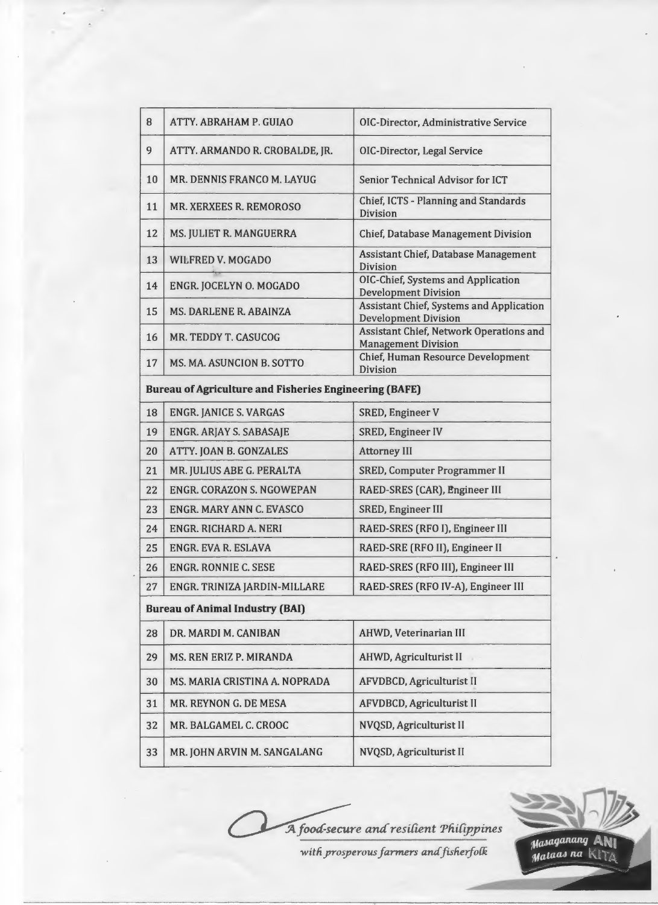| 8  | ATTY. ABRAHAM P. GUIAO                                        | OIC-Director, Administrative Service                                    |
|----|---------------------------------------------------------------|-------------------------------------------------------------------------|
| 9  | ATTY. ARMANDO R. CROBALDE, JR.                                | OIC-Director, Legal Service                                             |
| 10 | MR. DENNIS FRANCO M. LAYUG                                    | Senior Technical Advisor for ICT                                        |
| 11 | <b>MR. XERXEES R. REMOROSO</b>                                | Chief, ICTS - Planning and Standards<br><b>Division</b>                 |
| 12 | MS. JULIET R. MANGUERRA                                       | <b>Chief, Database Management Division</b>                              |
| 13 | WILFRED V. MOGADO                                             | Assistant Chief, Database Management<br><b>Division</b>                 |
| 14 | ENGR. JOCELYN O. MOGADO                                       | OIC-Chief, Systems and Application<br><b>Development Division</b>       |
| 15 | <b>MS. DARLENE R. ABAINZA</b>                                 | Assistant Chief, Systems and Application<br><b>Development Division</b> |
| 16 | MR. TEDDY T. CASUCOG                                          | Assistant Chief, Network Operations and<br><b>Management Division</b>   |
| 17 | <b>MS. MA. ASUNCION B. SOTTO</b>                              | <b>Chief, Human Resource Development</b><br>Division                    |
|    | <b>Bureau of Agriculture and Fisheries Engineering (BAFE)</b> |                                                                         |
| 18 | <b>ENGR. JANICE S. VARGAS</b>                                 | <b>SRED, Engineer V</b>                                                 |
| 19 | <b>ENGR. ARJAY S. SABASAJE</b>                                | <b>SRED, Engineer IV</b>                                                |
| 20 | ATTY. JOAN B. GONZALES                                        | <b>Attorney III</b>                                                     |
| 21 | MR. JULIUS ABE G. PERALTA                                     | <b>SRED, Computer Programmer II</b>                                     |
| 22 | <b>ENGR. CORAZON S. NGOWEPAN</b>                              | RAED-SRES (CAR), Engineer III                                           |
| 23 | <b>ENGR. MARY ANN C. EVASCO</b>                               | <b>SRED, Engineer III</b>                                               |
| 24 | <b>ENGR. RICHARD A. NERI</b>                                  | RAED-SRES (RFO I), Engineer III                                         |
| 25 | <b>ENGR. EVA R. ESLAVA</b>                                    | RAED-SRE (RFO II), Engineer II                                          |
| 26 | <b>ENGR. RONNIE C. SESE</b>                                   | RAED-SRES (RFO III), Engineer III                                       |
| 27 | ENGR. TRINIZA JARDIN-MILLARE                                  | RAED-SRES (RFO IV-A), Engineer III                                      |
|    | <b>Bureau of Animal Industry (BAI)</b>                        |                                                                         |
| 28 | DR. MARDI M. CANIBAN                                          | AHWD, Veterinarian III                                                  |
| 29 | MS. REN ERIZ P. MIRANDA                                       | <b>AHWD, Agriculturist II</b>                                           |
| 30 | MS. MARIA CRISTINA A. NOPRADA                                 | <b>AFVDBCD, Agriculturist II</b>                                        |
| 31 | MR. REYNON G. DE MESA                                         | <b>AFVDBCD, Agriculturist II</b>                                        |
| 32 | MR. BALGAMEL C. CROOC                                         | NVQSD, Agriculturist II                                                 |
| 33 | MR. JOHN ARVIN M. SANGALANG                                   | NVQSD, Agriculturist II                                                 |

A food-secure and resilient Philippines

 $with$  prosperous *farmers* and *fisherfolk* 

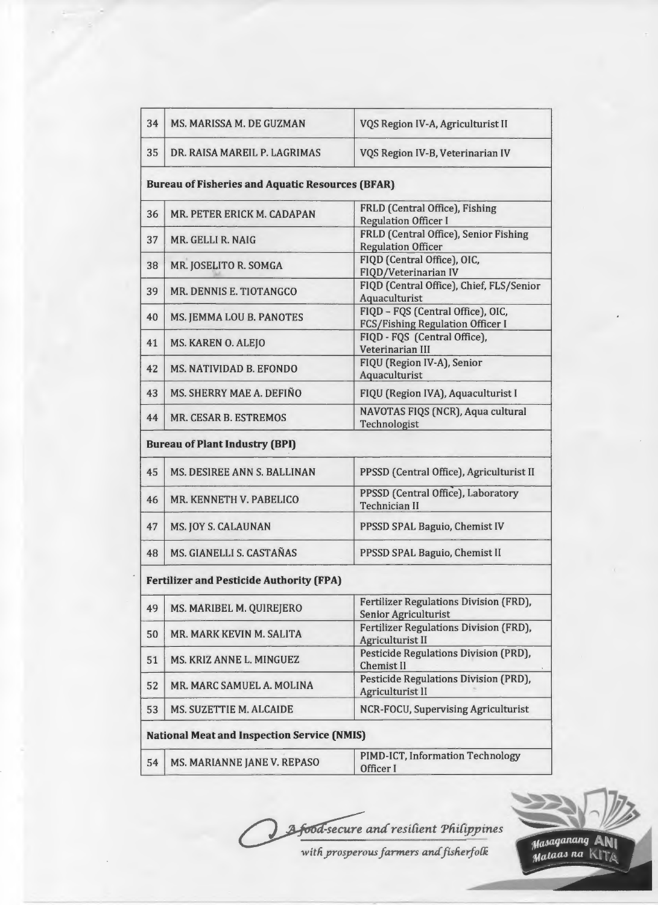| 34 | <b>MS. MARISSA M. DE GUZMAN</b>                         | VQS Region IV-A, Agriculturist II                                            |
|----|---------------------------------------------------------|------------------------------------------------------------------------------|
| 35 | DR. RAISA MAREIL P. LAGRIMAS                            | VQS Region IV-B, Veterinarian IV                                             |
|    | <b>Bureau of Fisheries and Aquatic Resources (BFAR)</b> |                                                                              |
| 36 | MR. PETER ERICK M. CADAPAN                              | FRLD (Central Office), Fishing<br><b>Regulation Officer I</b>                |
| 37 | MR. GELLI R. NAIG                                       | FRLD (Central Office), Senior Fishing<br><b>Regulation Officer</b>           |
| 38 | MR. JOSELITO R. SOMGA                                   | FIQD (Central Office), OIC,<br>FIQD/Veterinarian IV                          |
| 39 | MR. DENNIS E. TIOTANGCO                                 | FIQD (Central Office), Chief, FLS/Senior<br>Aquaculturist                    |
| 40 | MS. JEMMA LOU B. PANOTES                                | FIQD - FQS (Central Office), OIC,<br><b>FCS/Fishing Regulation Officer I</b> |
| 41 | MS. KAREN O. ALEJO                                      | FIQD - FQS (Central Office),<br>Veterinarian III                             |
| 42 | MS. NATIVIDAD B. EFONDO                                 | FIQU (Region IV-A), Senior<br>Aquaculturist                                  |
| 43 | MS. SHERRY MAE A. DEFIÑO                                | FIQU (Region IVA), Aquaculturist I                                           |
| 44 | <b>MR. CESAR B. ESTREMOS</b>                            | NAVOTAS FIQS (NCR), Aqua cultural<br>Technologist                            |
|    | <b>Bureau of Plant Industry (BPI)</b>                   |                                                                              |
| 45 | MS. DESIREE ANN S. BALLINAN                             | PPSSD (Central Office), Agriculturist II                                     |
| 46 | MR. KENNETH V. PABELICO                                 | PPSSD (Central Office), Laboratory<br><b>Technician II</b>                   |
| 47 | <b>MS. JOY S. CALAUNAN</b>                              | PPSSD SPAL Baguio, Chemist IV                                                |
| 48 | MS. GIANELLI S. CASTAÑAS                                | PPSSD SPAL Baguio, Chemist II                                                |
|    | <b>Fertilizer and Pesticide Authority (FPA)</b>         |                                                                              |
| 49 | MS. MARIBEL M. QUIREJERO                                | Fertilizer Regulations Division (FRD),<br><b>Senior Agriculturist</b>        |
| 50 | MR. MARK KEVIN M. SALITA                                | <b>Fertilizer Regulations Division (FRD),</b><br><b>Agriculturist II</b>     |
| 51 | MS. KRIZ ANNE L. MINGUEZ                                | Pesticide Regulations Division (PRD),<br><b>Chemist II</b>                   |
| 52 | MR. MARC SAMUEL A. MOLINA                               | Pesticide Regulations Division (PRD),<br><b>Agriculturist II</b>             |
| 53 | <b>MS. SUZETTIE M. ALCAIDE</b>                          | NCR-FOCU, Supervising Agriculturist                                          |
|    | <b>National Meat and Inspection Service (NMIS)</b>      |                                                                              |
| 54 | MS. MARIANNE JANE V. REPASO                             | PIMD-ICT, Information Technology<br>Officer I                                |
|    |                                                         |                                                                              |



*witfiyroperous farmers* amf *fisfierjo{k* 



Masaganang ANI<br>Mataas na KITA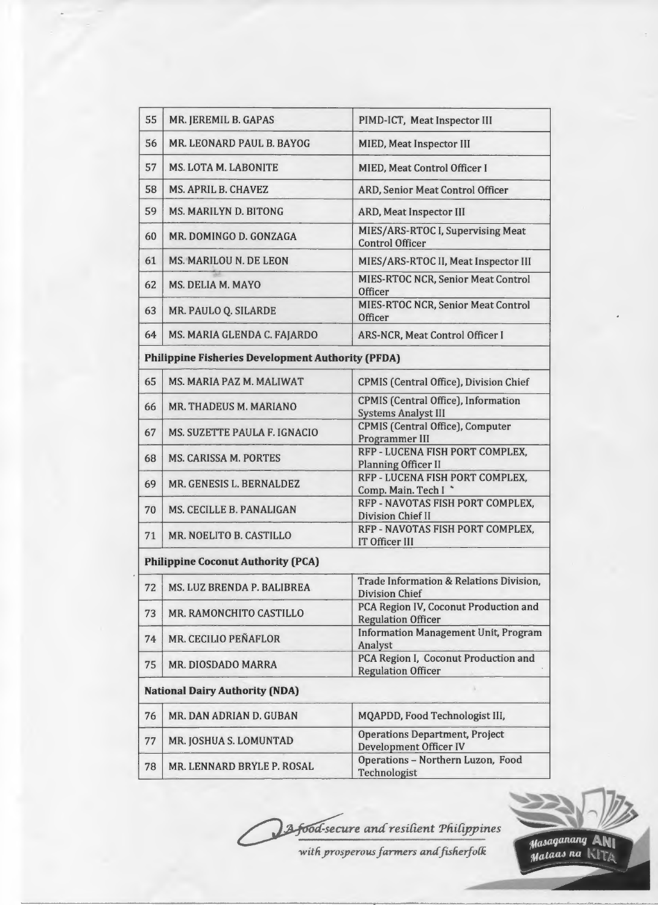| 55 | MR. JEREMIL B. GAPAS                                     | PIMD-ICT, Meat Inspector III                                             |
|----|----------------------------------------------------------|--------------------------------------------------------------------------|
| 56 | MR. LEONARD PAUL B. BAYOG                                | <b>MIED, Meat Inspector III</b>                                          |
| 57 | <b>MS. LOTA M. LABONITE</b>                              | <b>MIED, Meat Control Officer I</b>                                      |
| 58 | MS. APRIL B. CHAVEZ                                      | ARD, Senior Meat Control Officer                                         |
| 59 | <b>MS. MARILYN D. BITONG</b>                             | <b>ARD, Meat Inspector III</b>                                           |
| 60 | MR. DOMINGO D. GONZAGA                                   | MIES/ARS-RTOC I, Supervising Meat<br><b>Control Officer</b>              |
| 61 | MS. MARILOU N. DE LEON                                   | MIES/ARS-RTOC II, Meat Inspector III                                     |
| 62 | MS. DELIA M. MAYO                                        | <b>MIES-RTOC NCR, Senior Meat Control</b><br><b>Officer</b>              |
| 63 | MR. PAULO Q. SILARDE                                     | <b>MIES-RTOC NCR, Senior Meat Control</b><br>Officer                     |
| 64 | MS. MARIA GLENDA C. FAJARDO                              | <b>ARS-NCR, Meat Control Officer I</b>                                   |
|    | <b>Philippine Fisheries Development Authority (PFDA)</b> |                                                                          |
| 65 | MS. MARIA PAZ M. MALIWAT                                 | <b>CPMIS (Central Office), Division Chief</b>                            |
| 66 | MR. THADEUS M. MARIANO                                   | <b>CPMIS</b> (Central Office), Information<br><b>Systems Analyst III</b> |
| 67 | MS. SUZETTE PAULA F. IGNACIO                             | <b>CPMIS</b> (Central Office), Computer<br>Programmer III                |
| 68 | <b>MS. CARISSA M. PORTES</b>                             | RFP - LUCENA FISH PORT COMPLEX,<br><b>Planning Officer II</b>            |
| 69 | MR. GENESIS L. BERNALDEZ                                 | RFP - LUCENA FISH PORT COMPLEX,<br>Comp. Main. Tech I *                  |
| 70 | MS. CECILLE B. PANALIGAN                                 | RFP - NAVOTAS FISH PORT COMPLEX,<br><b>Division Chief II</b>             |
| 71 | MR. NOELITO B. CASTILLO                                  | RFP - NAVOTAS FISH PORT COMPLEX,<br><b>IT Officer III</b>                |
|    | <b>Philippine Coconut Authority (PCA)</b>                |                                                                          |
| 72 | MS. LUZ BRENDA P. BALIBREA                               | Trade Information & Relations Division,<br><b>Division Chief</b>         |
| 73 | MR. RAMONCHITO CASTILLO                                  | PCA Region IV, Coconut Production and<br><b>Regulation Officer</b>       |
| 74 | MR. CECILIO PEÑAFLOR                                     | <b>Information Management Unit, Program</b><br>Analyst                   |
| 75 | MR. DIOSDADO MARRA                                       | PCA Region I, Coconut Production and<br><b>Regulation Officer</b>        |
|    | <b>National Dairy Authority (NDA)</b>                    |                                                                          |
| 76 | MR. DAN ADRIAN D. GUBAN                                  | MQAPDD, Food Technologist III,                                           |
| 77 | MR. JOSHUA S. LOMUNTAD                                   | <b>Operations Department, Project</b><br><b>Development Officer IV</b>   |
| 78 | MR. LENNARD BRYLE P. ROSAL                               | Operations - Northern Luzon, Food<br>Technologist                        |

13 food-secure and resilient Philippines

*with prosperous farmers and fisherfolk* 



Masaganang ANI<br>Mataas na KITA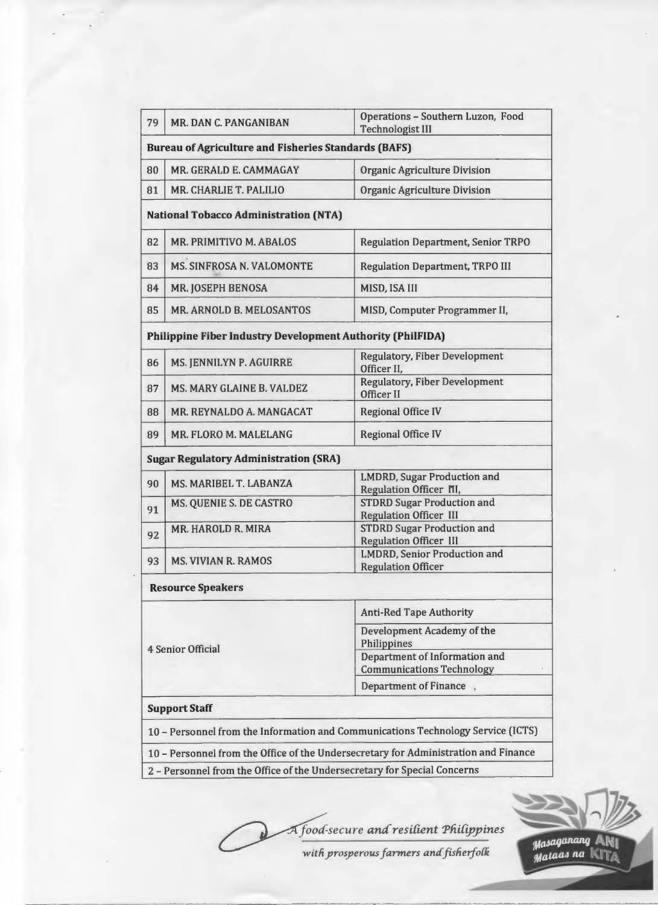| 79                       | MR. DAN C. PANGANIBAN                                                    | Operations - Southern Luzon, Food<br><b>Technologist III</b>                                                   |
|--------------------------|--------------------------------------------------------------------------|----------------------------------------------------------------------------------------------------------------|
|                          | <b>Bureau of Agriculture and Fisheries Standards (BAFS)</b>              |                                                                                                                |
| 80                       | MR. GERALD E. CAMMAGAY                                                   | <b>Organic Agriculture Division</b>                                                                            |
| 81                       | MR. CHARLIE T. PALILIO                                                   | Organic Agriculture Division                                                                                   |
|                          | <b>National Tobacco Administration (NTA)</b>                             |                                                                                                                |
| 82                       | MR. PRIMITIVO M. ABALOS                                                  | <b>Regulation Department, Senior TRPO</b>                                                                      |
| 83                       | <b>MS. SINFROSA N. VALOMONTE</b>                                         | <b>Regulation Department, TRPO III</b>                                                                         |
| 84                       | <b>MR. JOSEPH BENOSA</b>                                                 | MISD, ISA III                                                                                                  |
| 85                       | MR. ARNOLD B. MELOSANTOS                                                 | MISD, Computer Programmer II,                                                                                  |
|                          | <b>Philippine Fiber Industry Development Authority (PhilFIDA)</b>        |                                                                                                                |
| 86                       | MS. JENNILYN P. AGUIRRE                                                  | <b>Regulatory, Fiber Development</b><br>Officer II,                                                            |
| 87                       | <b>MS. MARY GLAINE B. VALDEZ</b>                                         | <b>Regulatory, Fiber Development</b><br>Officer II                                                             |
| 88                       | MR. REYNALDO A. MANGACAT                                                 | <b>Regional Office IV</b>                                                                                      |
| 89                       | MR. FLORO M. MALELANG                                                    | <b>Regional Office IV</b>                                                                                      |
|                          | <b>Sugar Regulatory Administration (SRA)</b>                             |                                                                                                                |
| 90                       | MS. MARIBEL T. LABANZA                                                   | <b>LMDRD, Sugar Production and</b><br>Regulation Officer NI,                                                   |
| 91                       | MS. QUENIE S. DE CASTRO                                                  | <b>STDRD Sugar Production and</b><br><b>Regulation Officer III</b>                                             |
| 92                       | MR. HAROLD R. MIRA                                                       | <b>STDRD Sugar Production and</b><br><b>Regulation Officer III</b>                                             |
| 93                       | <b>MS. VIVIAN R. RAMOS</b>                                               | <b>LMDRD, Senior Production and</b><br><b>Regulation Officer</b>                                               |
|                          | <b>Resource Speakers</b>                                                 |                                                                                                                |
| <b>4 Senior Official</b> |                                                                          | <b>Anti-Red Tape Authority</b>                                                                                 |
|                          |                                                                          | Development Academy of the<br>Philippines<br>Department of Information and<br><b>Communications Technology</b> |
|                          |                                                                          | Department of Finance,                                                                                         |
|                          | <b>Support Staff</b>                                                     |                                                                                                                |
|                          |                                                                          | 10 - Personnel from the Information and Communications Technology Service (ICTS)                               |
|                          |                                                                          | 10 - Personnel from the Office of the Undersecretary for Administration and Finance                            |
|                          | 2 - Personnel from the Office of the Undersecretary for Special Concerns |                                                                                                                |

A food-secure and resilient Philippines

with prosperous farmers and fisherfolk